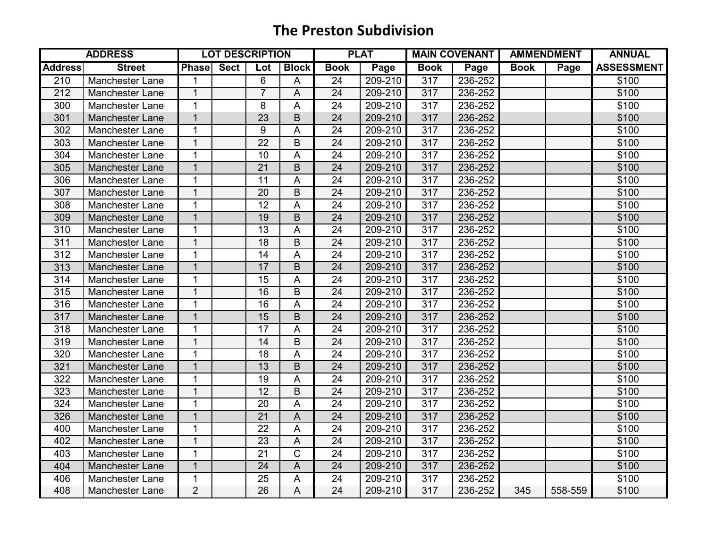|                | <b>ADDRESS</b>         |                   | <b>LOT DESCRIPTION</b> |                 |              |                 | <b>PLAT</b> |                  | <b>MAIN COVENANT</b> | <b>AMMENDMENT</b> |         | <b>ANNUAL</b>     |
|----------------|------------------------|-------------------|------------------------|-----------------|--------------|-----------------|-------------|------------------|----------------------|-------------------|---------|-------------------|
| <b>Address</b> | <b>Street</b>          | <b>Phase</b> Sect |                        | Lot             | <b>Block</b> | <b>Book</b>     | Page        | <b>Book</b>      | Page                 | <b>Book</b>       | Page    | <b>ASSESSMENT</b> |
| 210            | <b>Manchester Lane</b> | 1                 |                        | 6               | A            | 24              | 209-210     | $\overline{317}$ | 236-252              |                   |         | \$100             |
| 212            | <b>Manchester Lane</b> | $\overline{1}$    |                        | $\overline{7}$  | A            | $\overline{24}$ | 209-210     | 317              | 236-252              |                   |         | \$100             |
| 300            | <b>Manchester Lane</b> | $\overline{1}$    |                        | 8               | A            | 24              | 209-210     | 317              | 236-252              |                   |         | \$100             |
| 301            | <b>Manchester Lane</b> | $\overline{1}$    |                        | $\overline{23}$ | B            | 24              | 209-210     | 317              | 236-252              |                   |         | \$100             |
| 302            | Manchester Lane        | 1                 |                        | 9               | A            | 24              | 209-210     | 317              | 236-252              |                   |         | \$100             |
| 303            | Manchester Lane        | $\mathbf{1}$      |                        | 22              | B            | 24              | 209-210     | 317              | 236-252              |                   |         | \$100             |
| 304            | <b>Manchester Lane</b> | $\mathbf{1}$      |                        | 10              | A            | 24              | 209-210     | 317              | 236-252              |                   |         | \$100             |
| 305            | <b>Manchester Lane</b> | $\mathbf 1$       |                        | 21              | B            | 24              | 209-210     | 317              | 236-252              |                   |         | \$100             |
| 306            | Manchester Lane        | 1                 |                        | 11              | A            | $\overline{24}$ | 209-210     | 317              | 236-252              |                   |         | \$100             |
| 307            | <b>Manchester Lane</b> | $\mathbf{1}$      |                        | 20              | B            | $\overline{24}$ | 209-210     | 317              | 236-252              |                   |         | \$100             |
| 308            | <b>Manchester Lane</b> | $\mathbf{1}$      |                        | $\overline{12}$ | A            | $\overline{24}$ | 209-210     | 317              | 236-252              |                   |         | \$100             |
| 309            | <b>Manchester Lane</b> | $\overline{1}$    |                        | 19              | B            | 24              | 209-210     | 317              | 236-252              |                   |         | \$100             |
| 310            | <b>Manchester Lane</b> | 1                 |                        | 13              | A            | $\overline{24}$ | 209-210     | 317              | 236-252              |                   |         | \$100             |
| 311            | <b>Manchester Lane</b> | 1                 |                        | 18              | B            | 24              | 209-210     | 317              | 236-252              |                   |         | \$100             |
| 312            | <b>Manchester Lane</b> | 1                 |                        | 14              | A            | 24              | 209-210     | 317              | 236-252              |                   |         | \$100             |
| 313            | <b>Manchester Lane</b> | $\mathbf 1$       |                        | 17              | B            | 24              | 209-210     | 317              | 236-252              |                   |         | \$100             |
| 314            | <b>Manchester Lane</b> | 1                 |                        | 15              | A            | 24              | 209-210     | 317              | 236-252              |                   |         | \$100             |
| 315            | <b>Manchester Lane</b> | 1                 |                        | 16              | B            | $\overline{24}$ | 209-210     | 317              | 236-252              |                   |         | \$100             |
| 316            | <b>Manchester Lane</b> | $\mathbf{1}$      |                        | 16              | A            | $\overline{24}$ | 209-210     | 317              | 236-252              |                   |         | \$100             |
| 317            | Manchester Lane        | $\overline{1}$    |                        | 15              | B            | $\overline{24}$ | 209-210     | 317              | 236-252              |                   |         | \$100             |
| 318            | <b>Manchester Lane</b> | 1                 |                        | $\overline{17}$ | A            | $\overline{24}$ | 209-210     | 317              | 236-252              |                   |         | \$100             |
| 319            | <b>Manchester Lane</b> | $\overline{1}$    |                        | 14              | B            | 24              | 209-210     | 317              | 236-252              |                   |         | \$100             |
| 320            | <b>Manchester Lane</b> | $\overline{1}$    |                        | 18              | A            | 24              | 209-210     | 317              | 236-252              |                   |         | \$100             |
| 321            | <b>Manchester Lane</b> | $\overline{1}$    |                        | 13              | B            | 24              | 209-210     | 317              | 236-252              |                   |         | \$100             |
| 322            | <b>Manchester Lane</b> | $\mathbf{1}$      |                        | 19              | A            | 24              | 209-210     | 317              | 236-252              |                   |         | \$100             |
| 323            | Manchester Lane        | 1                 |                        | $\overline{12}$ | B            | $\overline{24}$ | 209-210     | 317              | 236-252              |                   |         | \$100             |
| 324            | Manchester Lane        | $\overline{1}$    |                        | $\overline{20}$ | A            | $\overline{24}$ | 209-210     | 317              | 236-252              |                   |         | \$100             |
| 326            | Manchester Lane        | $\overline{1}$    |                        | $\overline{21}$ | A            | $\overline{24}$ | 209-210     | 317              | 236-252              |                   |         | \$100             |
| 400            | Manchester Lane        | $\mathbf{1}$      |                        | 22              | A            | $\overline{24}$ | 209-210     | 317              | 236-252              |                   |         | \$100             |
| 402            | <b>Manchester Lane</b> | 1                 |                        | 23              | A            | 24              | 209-210     | 317              | 236-252              |                   |         | \$100             |
| 403            | <b>Manchester Lane</b> | 1                 |                        | 21              | $\mathsf C$  | 24              | 209-210     | 317              | 236-252              |                   |         | \$100             |
| 404            | <b>Manchester Lane</b> | $\mathbf 1$       |                        | 24              | $\mathsf A$  | 24              | 209-210     | 317              | 236-252              |                   |         | \$100             |
| 406            | Manchester Lane        | 1                 |                        | 25              | Α            | 24              | 209-210     | 317              | 236-252              |                   |         | \$100             |
| 408            | <b>Manchester Lane</b> | $\overline{2}$    |                        | $\overline{26}$ | A            | $\overline{24}$ | 209-210     | $\overline{317}$ | 236-252              | $\overline{345}$  | 558-559 | \$100             |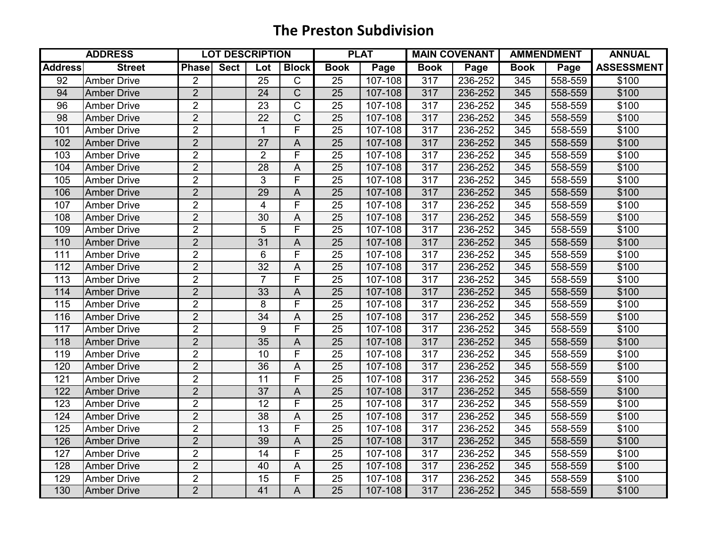|                | <b>ADDRESS</b>     |                | <b>LOT DESCRIPTION</b> |                 |                         |                 | <b>PLAT</b> |                  | <b>MAIN COVENANT</b> | <b>AMMENDMENT</b> |         | <b>ANNUAL</b>     |
|----------------|--------------------|----------------|------------------------|-----------------|-------------------------|-----------------|-------------|------------------|----------------------|-------------------|---------|-------------------|
| <b>Address</b> | <b>Street</b>      | <b>Phase</b>   | <b>Sect</b>            | Lot             | <b>Block</b>            | <b>Book</b>     | Page        | <b>Book</b>      | Page                 | <b>Book</b>       | Page    | <b>ASSESSMENT</b> |
| 92             | <b>Amber Drive</b> | $\overline{2}$ |                        | $\overline{25}$ | $\overline{C}$          | 25              | 107-108     | 317              | 236-252              | 345               | 558-559 | \$100             |
| 94             | <b>Amber Drive</b> | $\overline{2}$ |                        | $\overline{24}$ | $\overline{C}$          | 25              | 107-108     | 317              | 236-252              | 345               | 558-559 | \$100             |
| 96             | <b>Amber Drive</b> | $\overline{2}$ |                        | 23              | $\overline{C}$          | 25              | 107-108     | 317              | 236-252              | 345               | 558-559 | \$100             |
| 98             | <b>Amber Drive</b> | $\overline{2}$ |                        | 22              | $\overline{C}$          | 25              | 107-108     | 317              | 236-252              | 345               | 558-559 | \$100             |
| 101            | <b>Amber Drive</b> | $\overline{2}$ |                        | $\mathbf{1}$    | F                       | 25              | 107-108     | 317              | 236-252              | 345               | 558-559 | \$100             |
| 102            | <b>Amber Drive</b> | $\overline{2}$ |                        | 27              | A                       | 25              | 107-108     | 317              | 236-252              | 345               | 558-559 | \$100             |
| 103            | <b>Amber Drive</b> | $\overline{2}$ |                        | 2               | F                       | 25              | 107-108     | 317              | 236-252              | 345               | 558-559 | \$100             |
| 104            | <b>Amber Drive</b> | $\overline{2}$ |                        | 28              | A                       | 25              | 107-108     | 317              | 236-252              | 345               | 558-559 | \$100             |
| 105            | <b>Amber Drive</b> | $\overline{2}$ |                        | $\overline{3}$  | $\overline{\mathsf{F}}$ | 25              | 107-108     | 317              | 236-252              | 345               | 558-559 | \$100             |
| 106            | <b>Amber Drive</b> | $\overline{2}$ |                        | 29              | A                       | $\overline{25}$ | 107-108     | 317              | 236-252              | 345               | 558-559 | \$100             |
| 107            | <b>Amber Drive</b> | $\overline{2}$ |                        | 4               | F                       | $\overline{25}$ | 107-108     | 317              | 236-252              | 345               | 558-559 | \$100             |
| 108            | <b>Amber Drive</b> | $\overline{2}$ |                        | 30              | A                       | 25              | 107-108     | 317              | 236-252              | 345               | 558-559 | \$100             |
| 109            | <b>Amber Drive</b> | $\overline{2}$ |                        | 5               | F                       | 25              | 107-108     | 317              | 236-252              | 345               | 558-559 | \$100             |
| 110            | <b>Amber Drive</b> | $\overline{2}$ |                        | 31              | A                       | 25              | 107-108     | 317              | 236-252              | 345               | 558-559 | \$100             |
| 111            | <b>Amber Drive</b> | $\overline{2}$ |                        | 6               | F                       | 25              | 107-108     | 317              | 236-252              | 345               | 558-559 | \$100             |
| 112            | <b>Amber Drive</b> | $\overline{2}$ |                        | 32              | A                       | 25              | 107-108     | 317              | 236-252              | 345               | 558-559 | \$100             |
| 113            | <b>Amber Drive</b> | $\overline{2}$ |                        | $\overline{7}$  | F                       | 25              | 107-108     | 317              | 236-252              | 345               | 558-559 | \$100             |
| 114            | <b>Amber Drive</b> | $\overline{2}$ |                        | 33              | A                       | $\overline{25}$ | 107-108     | 317              | 236-252              | 345               | 558-559 | \$100             |
| 115            | <b>Amber Drive</b> | $\overline{2}$ |                        | 8               | F                       | $\overline{25}$ | $107 - 108$ | 317              | $236 - 252$          | $\overline{345}$  | 558-559 | \$100             |
| 116            | <b>Amber Drive</b> | $\overline{2}$ |                        | 34              | A                       | 25              | 107-108     | 317              | 236-252              | 345               | 558-559 | \$100             |
| 117            | <b>Amber Drive</b> | $\overline{2}$ |                        | 9               | F                       | 25              | 107-108     | 317              | 236-252              | 345               | 558-559 | \$100             |
| 118            | <b>Amber Drive</b> | $\overline{2}$ |                        | 35              | A                       | 25              | 107-108     | 317              | 236-252              | 345               | 558-559 | \$100             |
| 119            | <b>Amber Drive</b> | $\overline{2}$ |                        | 10              | $\overline{F}$          | 25              | 107-108     | 317              | 236-252              | 345               | 558-559 | \$100             |
| 120            | <b>Amber Drive</b> | $\overline{2}$ |                        | 36              | A                       | 25              | 107-108     | 317              | 236-252              | 345               | 558-559 | \$100             |
| 121            | <b>Amber Drive</b> | $\overline{2}$ |                        | 11              | F                       | 25              | 107-108     | 317              | 236-252              | 345               | 558-559 | \$100             |
| 122            | <b>Amber Drive</b> | $\overline{2}$ |                        | $\overline{37}$ | A                       | $\overline{25}$ | 107-108     | $\overline{317}$ | 236-252              | 345               | 558-559 | \$100             |
| 123            | <b>Amber Drive</b> | $\overline{2}$ |                        | $\overline{12}$ | F                       | 25              | 107-108     | 317              | 236-252              | 345               | 558-559 | \$100             |
| 124            | <b>Amber Drive</b> | $\overline{2}$ |                        | $\overline{38}$ | A                       | $\overline{25}$ | 107-108     | 317              | 236-252              | 345               | 558-559 | \$100             |
| 125            | <b>Amber Drive</b> | $\overline{2}$ |                        | 13              | F                       | 25              | 107-108     | 317              | 236-252              | 345               | 558-559 | \$100             |
| 126            | <b>Amber Drive</b> | $\overline{2}$ |                        | 39              | A                       | $\overline{25}$ | 107-108     | 317              | 236-252              | 345               | 558-559 | \$100             |
| 127            | <b>Amber Drive</b> | $\overline{2}$ |                        | 14              | F                       | 25              | 107-108     | 317              | 236-252              | 345               | 558-559 | \$100             |
| 128            | <b>Amber Drive</b> | $\overline{2}$ |                        | 40              | A                       | 25              | 107-108     | 317              | 236-252              | 345               | 558-559 | \$100             |
| 129            | <b>Amber Drive</b> | $\overline{2}$ |                        | 15              | F                       | 25              | 107-108     | 317              | 236-252              | 345               | 558-559 | \$100             |
| 130            | <b>Amber Drive</b> | $\overline{2}$ |                        | 41              | A                       | $\overline{25}$ | 107-108     | 317              | 236-252              | 345               | 558-559 | \$100             |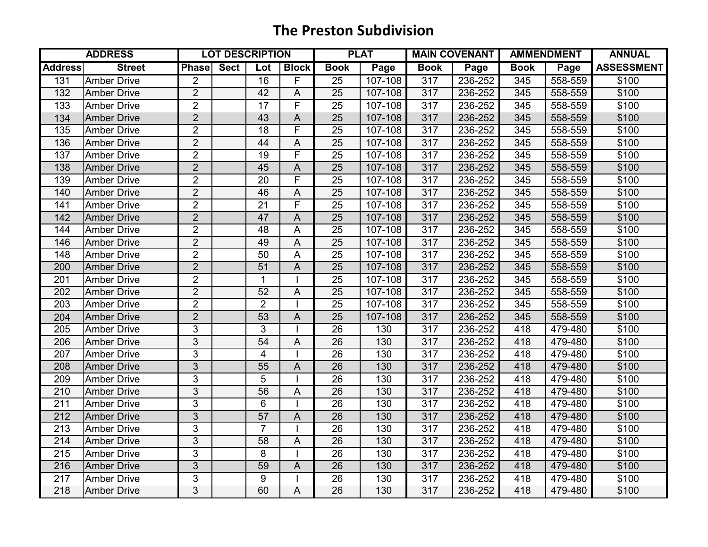|                  | <b>ADDRESS</b>     |                | <b>LOT DESCRIPTION</b> |                 |                         | <b>PLAT</b>     |                      | <b>MAIN COVENANT</b> |         | <b>AMMENDMENT</b> |         | <b>ANNUAL</b>     |
|------------------|--------------------|----------------|------------------------|-----------------|-------------------------|-----------------|----------------------|----------------------|---------|-------------------|---------|-------------------|
| <b>Address</b>   | <b>Street</b>      | <b>Phase</b>   | <b>Sect</b>            | Lot             | <b>Block</b>            | <b>Book</b>     | Page                 | <b>Book</b>          | Page    | <b>Book</b>       | Page    | <b>ASSESSMENT</b> |
| 131              | <b>Amber Drive</b> | $\overline{2}$ |                        | $\overline{16}$ | F                       | 25              | 107-108              | 317                  | 236-252 | 345               | 558-559 | \$100             |
| 132              | <b>Amber Drive</b> | $\overline{2}$ |                        | 42              | A                       | $\overline{25}$ | 107-108              | 317                  | 236-252 | 345               | 558-559 | \$100             |
| 133              | <b>Amber Drive</b> | $\overline{2}$ |                        | 17              | $\overline{\mathsf{F}}$ | 25              | 107-108              | 317                  | 236-252 | 345               | 558-559 | \$100             |
| 134              | <b>Amber Drive</b> | $\overline{2}$ |                        | 43              | $\overline{A}$          | 25              | 107-108              | 317                  | 236-252 | 345               | 558-559 | \$100             |
| 135              | <b>Amber Drive</b> | $\overline{2}$ |                        | 18              | F                       | 25              | 107-108              | 317                  | 236-252 | 345               | 558-559 | \$100             |
| 136              | <b>Amber Drive</b> | $\overline{2}$ |                        | 44              | A                       | 25              | 107-108              | 317                  | 236-252 | 345               | 558-559 | \$100             |
| 137              | <b>Amber Drive</b> | $\overline{2}$ |                        | 19              | F                       | 25              | 107-108              | 317                  | 236-252 | 345               | 558-559 | \$100             |
| 138              | <b>Amber Drive</b> | $\overline{2}$ |                        | 45              | A                       | 25              | 107-108              | 317                  | 236-252 | 345               | 558-559 | \$100             |
| 139              | <b>Amber Drive</b> | $\overline{2}$ |                        | $\overline{20}$ | $\overline{\mathsf{F}}$ | 25              | 107-108              | 317                  | 236-252 | 345               | 558-559 | \$100             |
| 140              | <b>Amber Drive</b> | $\overline{2}$ |                        | 46              | A                       | $\overline{25}$ | 107-108              | 317                  | 236-252 | 345               | 558-559 | \$100             |
| 141              | <b>Amber Drive</b> | $\overline{2}$ |                        | 21              | F                       | $\overline{25}$ | 107-108              | 317                  | 236-252 | 345               | 558-559 | \$100             |
| 142              | <b>Amber Drive</b> | $\overline{2}$ |                        | 47              | A                       | 25              | 107-108              | 317                  | 236-252 | 345               | 558-559 | \$100             |
| 144              | <b>Amber Drive</b> | $\overline{2}$ |                        | 48              | A                       | 25              | 107-108              | 317                  | 236-252 | 345               | 558-559 | \$100             |
| 146              | <b>Amber Drive</b> | $\overline{2}$ |                        | 49              | A                       | $\overline{25}$ | 107-108              | 317                  | 236-252 | 345               | 558-559 | \$100             |
| 148              | <b>Amber Drive</b> | $\overline{2}$ |                        | 50              | A                       | 25              | 107-108              | 317                  | 236-252 | 345               | 558-559 | \$100             |
| 200              | <b>Amber Drive</b> | $\overline{2}$ |                        | 51              | A                       | 25              | 107-108              | 317                  | 236-252 | 345               | 558-559 | \$100             |
| 201              | <b>Amber Drive</b> | $\overline{2}$ |                        | 1               |                         | 25              | 107-108              | 317                  | 236-252 | 345               | 558-559 | \$100             |
| 202              | <b>Amber Drive</b> | $\overline{2}$ |                        | 52              | A                       | $\overline{25}$ | 107-108              | 317                  | 236-252 | 345               | 558-559 | \$100             |
| 203              | <b>Amber Drive</b> | $\overline{2}$ |                        | $\overline{2}$  |                         | $\overline{25}$ | $\overline{107-108}$ | 317                  | 236-252 | 345               | 558-559 | \$100             |
| 204              | <b>Amber Drive</b> | $\overline{2}$ |                        | 53              | A                       | 25              | 107-108              | 317                  | 236-252 | 345               | 558-559 | \$100             |
| 205              | <b>Amber Drive</b> | 3              |                        | 3               |                         | 26              | 130                  | 317                  | 236-252 | 418               | 479-480 | \$100             |
| 206              | <b>Amber Drive</b> | 3              |                        | 54              | A                       | 26              | 130                  | 317                  | 236-252 | 418               | 479-480 | \$100             |
| 207              | <b>Amber Drive</b> | $\overline{3}$ |                        | $\overline{4}$  |                         | 26              | 130                  | 317                  | 236-252 | 418               | 479-480 | \$100             |
| 208              | <b>Amber Drive</b> | 3              |                        | 55              | A                       | 26              | 130                  | 317                  | 236-252 | 418               | 479-480 | \$100             |
| 209              | <b>Amber Drive</b> | 3              |                        | 5               |                         | 26              | 130                  | 317                  | 236-252 | 418               | 479-480 | \$100             |
| 210              | <b>Amber Drive</b> | $\overline{3}$ |                        | 56              | A                       | $\overline{26}$ | 130                  | 317                  | 236-252 | 418               | 479-480 | \$100             |
| 211              | <b>Amber Drive</b> | 3              |                        | 6               |                         | 26              | 130                  | 317                  | 236-252 | 418               | 479-480 | \$100             |
| 212              | <b>Amber Drive</b> | $\overline{3}$ |                        | 57              | A                       | $\overline{26}$ | 130                  | 317                  | 236-252 | 418               | 479-480 | \$100             |
| 213              | <b>Amber Drive</b> | 3              |                        | $\overline{7}$  |                         | 26              | 130                  | 317                  | 236-252 | 418               | 479-480 | \$100             |
| 214              | <b>Amber Drive</b> | 3              |                        | 58              | A                       | $\overline{26}$ | 130                  | 317                  | 236-252 | 418               | 479-480 | \$100             |
| 215              | <b>Amber Drive</b> | 3              |                        | 8               |                         | 26              | 130                  | 317                  | 236-252 | 418               | 479-480 | \$100             |
| 216              | <b>Amber Drive</b> | 3              |                        | 59              | A                       | 26              | 130                  | 317                  | 236-252 | 418               | 479-480 | \$100             |
| 217              | <b>Amber Drive</b> | 3              |                        | 9               |                         | 26              | 130                  | 317                  | 236-252 | 418               | 479-480 | \$100             |
| $\overline{218}$ | <b>Amber Drive</b> | $\overline{3}$ |                        | 60              | A                       | $\overline{26}$ | 130                  | 317                  | 236-252 | 418               | 479-480 | \$100             |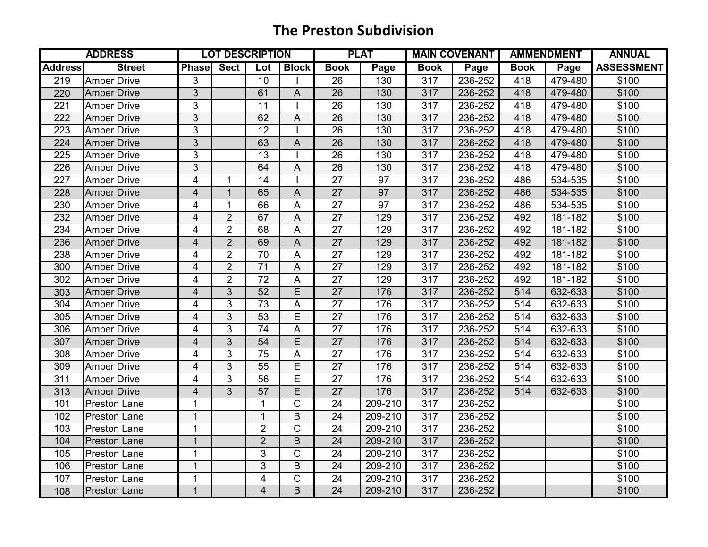|                | <b>ADDRESS</b>      |                | <b>LOT DESCRIPTION</b> |                 |                |                 | <b>PLAT</b> |             | <b>MAIN COVENANT</b> | <b>AMMENDMENT</b> |         | <b>ANNUAL</b>     |
|----------------|---------------------|----------------|------------------------|-----------------|----------------|-----------------|-------------|-------------|----------------------|-------------------|---------|-------------------|
| <b>Address</b> | <b>Street</b>       | Phase          | <b>Sect</b>            | Lot             | <b>Block</b>   | <b>Book</b>     | Page        | <b>Book</b> | Page                 | <b>Book</b>       | Page    | <b>ASSESSMENT</b> |
| 219            | <b>Amber Drive</b>  | 3              |                        | $\overline{10}$ |                | 26              | 130         | 317         | 236-252              | 418               | 479-480 | \$100             |
| 220            | <b>Amber Drive</b>  | $\overline{3}$ |                        | 61              | A              | $\overline{26}$ | 130         | 317         | 236-252              | 418               | 479-480 | \$100             |
| 221            | <b>Amber Drive</b>  | 3              |                        | 11              |                | 26              | 130         | 317         | 236-252              | 418               | 479-480 | \$100             |
| 222            | <b>Amber Drive</b>  | 3              |                        | 62              | A              | 26              | 130         | 317         | 236-252              | 418               | 479-480 | \$100             |
| 223            | <b>Amber Drive</b>  | 3              |                        | 12              |                | 26              | 130         | 317         | 236-252              | 418               | 479-480 | \$100             |
| 224            | <b>Amber Drive</b>  | 3              |                        | 63              | $\overline{A}$ | 26              | 130         | 317         | 236-252              | 418               | 479-480 | \$100             |
| 225            | <b>Amber Drive</b>  | 3              |                        | 13              |                | 26              | 130         | 317         | 236-252              | 418               | 479-480 | \$100             |
| 226            | <b>Amber Drive</b>  | 3              |                        | 64              | A              | 26              | 130         | 317         | 236-252              | 418               | 479-480 | \$100             |
| 227            | <b>Amber Drive</b>  | 4              | $\overline{1}$         | 14              |                | $\overline{27}$ | 97          | 317         | 236-252              | 486               | 534-535 | \$100             |
| 228            | <b>Amber Drive</b>  | $\overline{4}$ | $\mathbf{1}$           | 65              | A              | $\overline{27}$ | 97          | 317         | 236-252              | 486               | 534-535 | \$100             |
| 230            | <b>Amber Drive</b>  | 4              | 1                      | 66              | A              | $\overline{27}$ | 97          | 317         | 236-252              | 486               | 534-535 | \$100             |
| 232            | <b>Amber Drive</b>  | 4              | $\overline{2}$         | 67              | A              | 27              | 129         | 317         | 236-252              | 492               | 181-182 | \$100             |
| 234            | <b>Amber Drive</b>  | 4              | $\overline{2}$         | 68              | A              | 27              | 129         | 317         | 236-252              | 492               | 181-182 | \$100             |
| 236            | <b>Amber Drive</b>  | $\overline{4}$ | $\overline{2}$         | 69              | A              | 27              | 129         | 317         | 236-252              | 492               | 181-182 | \$100             |
| 238            | <b>Amber Drive</b>  | 4              | $\overline{2}$         | 70              | A              | 27              | 129         | 317         | 236-252              | 492               | 181-182 | \$100             |
| 300            | <b>Amber Drive</b>  | 4              | $\overline{2}$         | 71              | A              | 27              | 129         | 317         | 236-252              | 492               | 181-182 | \$100             |
| 302            | <b>Amber Drive</b>  | 4              | $\overline{2}$         | 72              | A              | 27              | 129         | 317         | 236-252              | 492               | 181-182 | \$100             |
| 303            | <b>Amber Drive</b>  | $\overline{4}$ | 3                      | $\overline{52}$ | E              | $\overline{27}$ | 176         | 317         | 236-252              | 514               | 632-633 | \$100             |
| 304            | <b>Amber Drive</b>  | 4              | 3                      | $\overline{73}$ | A              | $\overline{27}$ | 176         | 317         | $236 - 252$          | 514               | 632-633 | \$100             |
| 305            | <b>Amber Drive</b>  | $\overline{4}$ | 3                      | 53              | E              | 27              | 176         | 317         | 236-252              | 514               | 632-633 | \$100             |
| 306            | <b>Amber Drive</b>  | 4              | 3                      | 74              | A              | 27              | 176         | 317         | 236-252              | 514               | 632-633 | \$100             |
| 307            | <b>Amber Drive</b>  | $\overline{4}$ | 3                      | 54              | E              | 27              | 176         | 317         | 236-252              | 514               | 632-633 | \$100             |
| 308            | <b>Amber Drive</b>  | 4              | 3                      | $\overline{75}$ | A              | $\overline{27}$ | 176         | 317         | 236-252              | 514               | 632-633 | \$100             |
| 309            | <b>Amber Drive</b>  | $\overline{4}$ | 3                      | 55              | E              | 27              | 176         | 317         | 236-252              | 514               | 632-633 | \$100             |
| 311            | <b>Amber Drive</b>  | 4              | 3                      | 56              | E              | 27              | 176         | 317         | 236-252              | 514               | 632-633 | \$100             |
| 313            | <b>Amber Drive</b>  | $\overline{4}$ | $\overline{3}$         | 57              | $\overline{E}$ | $\overline{27}$ | 176         | 317         | 236-252              | 514               | 632-633 | \$100             |
| 101            | Preston Lane        | 1              |                        | 1               | $\mathsf{C}$   | 24              | 209-210     | 317         | 236-252              |                   |         | \$100             |
| 102            | <b>Preston Lane</b> | $\overline{1}$ |                        | $\overline{1}$  | B              | $\overline{24}$ | 209-210     | 317         | 236-252              |                   |         | \$100             |
| 103            | <b>Preston Lane</b> | $\overline{1}$ |                        | $\overline{2}$  | $\mathsf{C}$   | 24              | 209-210     | 317         | 236-252              |                   |         | \$100             |
| 104            | <b>Preston Lane</b> | $\mathbf{1}$   |                        | $\overline{2}$  | $\mathsf B$    | 24              | 209-210     | 317         | 236-252              |                   |         | \$100             |
| 105            | <b>Preston Lane</b> | 1              |                        | 3               | $\mathsf C$    | 24              | 209-210     | 317         | 236-252              |                   |         | \$100             |
| 106            | Preston Lane        | $\mathbf{1}$   |                        | 3               | B              | 24              | 209-210     | 317         | 236-252              |                   |         | \$100             |
| 107            | <b>Preston Lane</b> | 1              |                        | 4               | $\mathsf C$    | 24              | 209-210     | 317         | 236-252              |                   |         | \$100             |
| 108            | <b>Preston Lane</b> | $\mathbf{1}$   |                        | $\overline{4}$  | B              | $\overline{24}$ | 209-210     | 317         | 236-252              |                   |         | \$100             |